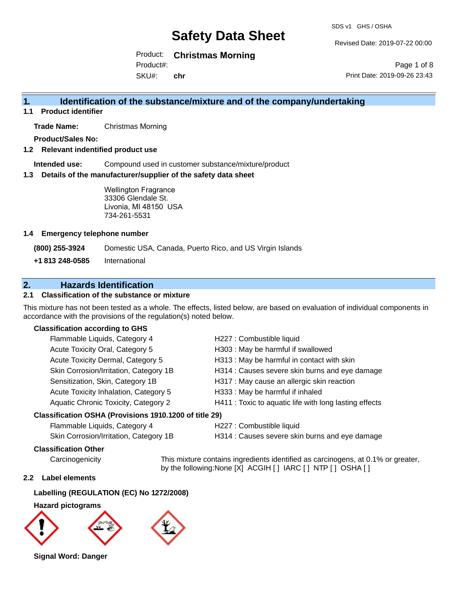Revised Date: 2019-07-22 00:00

Print Date: 2019-09-26 23:43

Page 1 of 8

Product: **Christmas Morning**

Product#:

SKU#: **chr**

# **1. Identification of the substance/mixture and of the company/undertaking**

#### **1.1 Product identifier**

**Trade Name:** Christmas Morning

**Product/Sales No:**

#### **1.2 Relevant indentified product use**

**Intended use:** Compound used in customer substance/mixture/product

#### **1.3 Details of the manufacturer/supplier of the safety data sheet**

Wellington Fragrance 33306 Glendale St. Livonia, MI 48150 USA 734-261-5531

#### **1.4 Emergency telephone number**

**(800) 255-3924** Domestic USA, Canada, Puerto Rico, and US Virgin Islands

**+1 813 248-0585** International

### **2. Hazards Identification**

#### **2.1 Classification of the substance or mixture**

This mixture has not been tested as a whole. The effects, listed below, are based on evaluation of individual components in accordance with the provisions of the regulation(s) noted below.

#### **Classification according to GHS**

| Flammable Liquids, Category 4                        | H227 : Combustible liquid                              |
|------------------------------------------------------|--------------------------------------------------------|
| Acute Toxicity Oral, Category 5                      | H303 : May be harmful if swallowed                     |
| Acute Toxicity Dermal, Category 5                    | H313 : May be harmful in contact with skin             |
| Skin Corrosion/Irritation, Category 1B               | H314 : Causes severe skin burns and eye damage         |
| Sensitization, Skin, Category 1B                     | H317 : May cause an allergic skin reaction             |
| Acute Toxicity Inhalation, Category 5                | H333: May be harmful if inhaled                        |
| Aquatic Chronic Toxicity, Category 2                 | H411 : Toxic to aquatic life with long lasting effects |
| iccification OSHA (Provisions 1910 1200 of title 29) |                                                        |

#### **Classification OSHA (Provisions 1910.1200 of title 29)**

| Flammable Liquids, Category 4                |
|----------------------------------------------|
| <b>Skin Corrosion/Irritation Category 1B</b> |

H227 : Combustible liquid

H314 : Causes severe skin burns and eye damage

#### **Classification Other**

Carcinogenicity This mixture contains ingredients identified as carcinogens, at 0.1% or greater, by the following:None [X] ACGIH [ ] IARC [ ] NTP [ ] OSHA [ ]

#### **2.2 Label elements**

#### **Labelling (REGULATION (EC) No 1272/2008)**

#### **Hazard pictograms**



**Signal Word: Danger**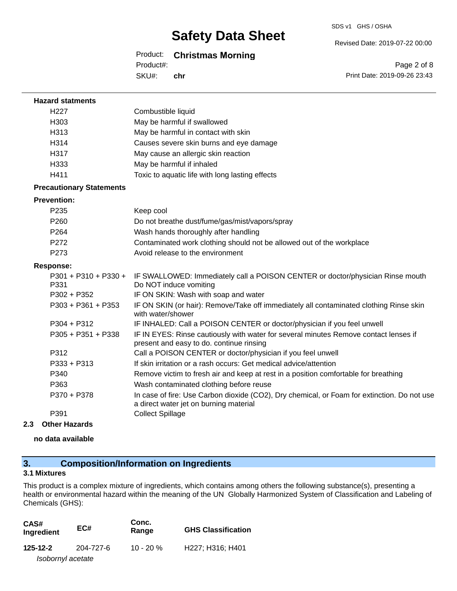#### Revised Date: 2019-07-22 00:00

#### Product: **Christmas Morning**

Product#:

SKU#: **chr**

Page 2 of 8 Print Date: 2019-09-26 23:43

| <b>Hazard statments</b>         |                                                                                                                                       |
|---------------------------------|---------------------------------------------------------------------------------------------------------------------------------------|
| H <sub>227</sub>                | Combustible liquid                                                                                                                    |
| H303                            | May be harmful if swallowed                                                                                                           |
| H313                            | May be harmful in contact with skin                                                                                                   |
| H314                            | Causes severe skin burns and eye damage                                                                                               |
| H317                            | May cause an allergic skin reaction                                                                                                   |
| H333                            | May be harmful if inhaled                                                                                                             |
| H411                            | Toxic to aquatic life with long lasting effects                                                                                       |
| <b>Precautionary Statements</b> |                                                                                                                                       |
| <b>Prevention:</b>              |                                                                                                                                       |
| P <sub>235</sub>                | Keep cool                                                                                                                             |
| P260                            | Do not breathe dust/fume/gas/mist/vapors/spray                                                                                        |
| P264                            | Wash hands thoroughly after handling                                                                                                  |
| P272                            | Contaminated work clothing should not be allowed out of the workplace                                                                 |
| P273                            | Avoid release to the environment                                                                                                      |
| <b>Response:</b>                |                                                                                                                                       |
| $P301 + P310 + P330 +$<br>P331  | IF SWALLOWED: Immediately call a POISON CENTER or doctor/physician Rinse mouth<br>Do NOT induce vomiting                              |
| $P302 + P352$                   | IF ON SKIN: Wash with soap and water                                                                                                  |
| $P303 + P361 + P353$            | IF ON SKIN (or hair): Remove/Take off immediately all contaminated clothing Rinse skin<br>with water/shower                           |
| $P304 + P312$                   | IF INHALED: Call a POISON CENTER or doctor/physician if you feel unwell                                                               |
| $P305 + P351 + P338$            | IF IN EYES: Rinse cautiously with water for several minutes Remove contact lenses if<br>present and easy to do. continue rinsing      |
| P312                            | Call a POISON CENTER or doctor/physician if you feel unwell                                                                           |
| P333 + P313                     | If skin irritation or a rash occurs: Get medical advice/attention                                                                     |
| P340                            | Remove victim to fresh air and keep at rest in a position comfortable for breathing                                                   |
| P363                            | Wash contaminated clothing before reuse                                                                                               |
| P370 + P378                     | In case of fire: Use Carbon dioxide (CO2), Dry chemical, or Foam for extinction. Do not use<br>a direct water jet on burning material |
| P391                            | <b>Collect Spillage</b>                                                                                                               |

#### **2.3 Other Hazards**

**no data available**

### **3. Composition/Information on Ingredients**

#### **3.1 Mixtures**

This product is a complex mixture of ingredients, which contains among others the following substance(s), presenting a health or environmental hazard within the meaning of the UN Globally Harmonized System of Classification and Labeling of Chemicals (GHS):

| CAS#<br>EC#<br>Ingredient |           | Conc.<br>Range | <b>GHS Classification</b>                              |  |
|---------------------------|-----------|----------------|--------------------------------------------------------|--|
| 125-12-2                  | 204-727-6 | $10 - 20 %$    | H <sub>227</sub> : H <sub>316</sub> : H <sub>401</sub> |  |
| Isobornyl acetate         |           |                |                                                        |  |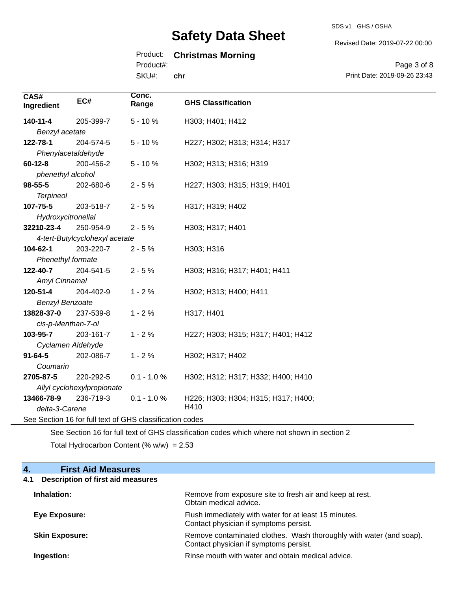#### Revised Date: 2019-07-22 00:00

### Product: **Christmas Morning**

Product#:

SKU#: **chr**

Page 3 of 8 Print Date: 2019-09-26 23:43

| CAS#<br>Ingredient     | EC#                            | Conc.<br>Range                                           | <b>GHS Classification</b>           |
|------------------------|--------------------------------|----------------------------------------------------------|-------------------------------------|
| 140-11-4               | 205-399-7                      | $5 - 10%$                                                | H303; H401; H412                    |
| Benzyl acetate         |                                |                                                          |                                     |
| 122-78-1               | 204-574-5                      | $5 - 10%$                                                | H227; H302; H313; H314; H317        |
| Phenylacetaldehyde     |                                |                                                          |                                     |
| $60 - 12 - 8$          | 200-456-2                      | $5 - 10%$                                                | H302; H313; H316; H319              |
| phenethyl alcohol      |                                |                                                          |                                     |
| 98-55-5                | 202-680-6                      | $2 - 5%$                                                 | H227; H303; H315; H319; H401        |
| <b>Terpineol</b>       |                                |                                                          |                                     |
| 107-75-5               | 203-518-7                      | $2 - 5%$                                                 | H317; H319; H402                    |
| Hydroxycitronellal     |                                |                                                          |                                     |
| 32210-23-4             | 250-954-9                      | $2 - 5%$                                                 | H303; H317; H401                    |
|                        | 4-tert-Butylcyclohexyl acetate |                                                          |                                     |
| 104-62-1               | 203-220-7                      | $2 - 5%$                                                 | H303; H316                          |
| Phenethyl formate      |                                |                                                          |                                     |
| 122-40-7               | 204-541-5                      | $2 - 5%$                                                 | H303; H316; H317; H401; H411        |
| Amyl Cinnamal          |                                |                                                          |                                     |
| 120-51-4               | 204-402-9                      | $1 - 2%$                                                 | H302; H313; H400; H411              |
| <b>Benzyl Benzoate</b> |                                |                                                          |                                     |
| 13828-37-0             | 237-539-8                      | $1 - 2%$                                                 | H317; H401                          |
| cis-p-Menthan-7-ol     |                                |                                                          |                                     |
| 103-95-7               | 203-161-7                      | $1 - 2%$                                                 | H227; H303; H315; H317; H401; H412  |
| Cyclamen Aldehyde      |                                |                                                          |                                     |
| $91 - 64 - 5$          | 202-086-7                      | $1 - 2%$                                                 | H302; H317; H402                    |
| Coumarin               |                                |                                                          |                                     |
| 2705-87-5              | 220-292-5                      | $0.1 - 1.0 %$                                            | H302; H312; H317; H332; H400; H410  |
|                        | Allyl cyclohexylpropionate     |                                                          |                                     |
| 13466-78-9             | 236-719-3                      | $0.1 - 1.0 %$                                            | H226; H303; H304; H315; H317; H400; |
| delta-3-Carene         |                                |                                                          | H410                                |
|                        |                                | See Section 16 for full text of GHS classification codes |                                     |

See Section 16 for full text of GHS classification codes which where not shown in section 2 Total Hydrocarbon Content (%  $w/w$ ) = 2.53

### **4. First Aid Measures**

### **4.1 Description of first aid measures**

| Inhalation:           | Remove from exposure site to fresh air and keep at rest.<br>Obtain medical advice.                            |
|-----------------------|---------------------------------------------------------------------------------------------------------------|
| Eye Exposure:         | Flush immediately with water for at least 15 minutes.<br>Contact physician if symptoms persist.               |
| <b>Skin Exposure:</b> | Remove contaminated clothes. Wash thoroughly with water (and soap).<br>Contact physician if symptoms persist. |
| Ingestion:            | Rinse mouth with water and obtain medical advice.                                                             |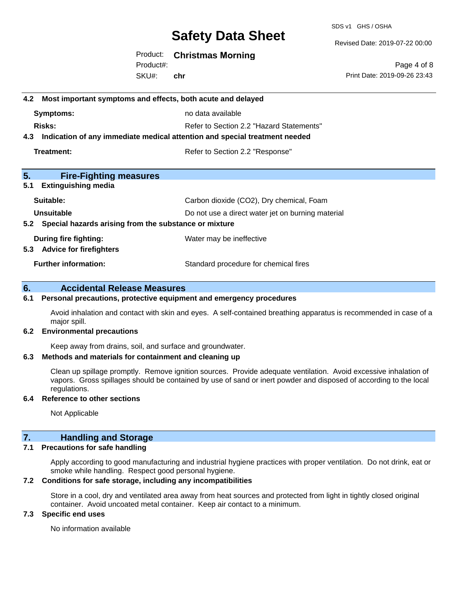SDS v1 GHS / OSHA

Revised Date: 2019-07-22 00:00

Product: **Christmas Morning** SKU#: Product#: **chr**

Page 4 of 8 Print Date: 2019-09-26 23:43

# **4.2 Most important symptoms and effects, both acute and delayed Symptoms:** no data available **Risks:** Risks: Refer to Section 2.2 "Hazard Statements" **4.3 Indication of any immediate medical attention and special treatment needed Treatment:** Treatment: Treatment: Refer to Section 2.2 "Response" **5. Fire-Fighting measures 5.1 Extinguishing media Suitable:** Carbon dioxide (CO2), Dry chemical, Foam **Unsuitable** Do not use a direct water jet on burning material **5.2 Special hazards arising from the substance or mixture During fire fighting:** Water may be ineffective **5.3 Advice for firefighters Further information:** Standard procedure for chemical fires

#### **6. Accidental Release Measures**

#### **6.1 Personal precautions, protective equipment and emergency procedures**

Avoid inhalation and contact with skin and eyes. A self-contained breathing apparatus is recommended in case of a major spill.

#### **6.2 Environmental precautions**

Keep away from drains, soil, and surface and groundwater.

#### **6.3 Methods and materials for containment and cleaning up**

Clean up spillage promptly. Remove ignition sources. Provide adequate ventilation. Avoid excessive inhalation of vapors. Gross spillages should be contained by use of sand or inert powder and disposed of according to the local regulations.

#### **6.4 Reference to other sections**

Not Applicable

#### **7. Handling and Storage**

#### **7.1 Precautions for safe handling**

Apply according to good manufacturing and industrial hygiene practices with proper ventilation. Do not drink, eat or smoke while handling. Respect good personal hygiene.

#### **7.2 Conditions for safe storage, including any incompatibilities**

Store in a cool, dry and ventilated area away from heat sources and protected from light in tightly closed original container. Avoid uncoated metal container. Keep air contact to a minimum.

#### **7.3 Specific end uses**

No information available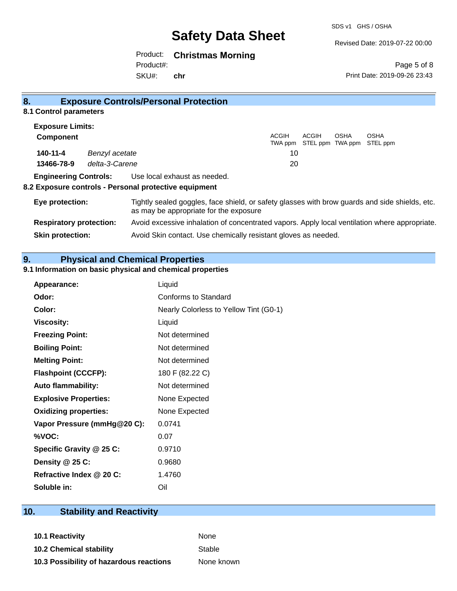Revised Date: 2019-07-22 00:00

Product: **Christmas Morning**

**Skin protection:** Avoid Skin contact. Use chemically resistant gloves as needed.

SKU#: Product#: **chr**

Page 5 of 8 Print Date: 2019-09-26 23:43

| 8.                             |                | <b>Exposure Controls/Personal Protection</b>                                                                                             |                         |                                  |      |                         |
|--------------------------------|----------------|------------------------------------------------------------------------------------------------------------------------------------------|-------------------------|----------------------------------|------|-------------------------|
| 8.1 Control parameters         |                |                                                                                                                                          |                         |                                  |      |                         |
| <b>Exposure Limits:</b>        |                |                                                                                                                                          |                         |                                  |      |                         |
| <b>Component</b>               |                |                                                                                                                                          | <b>ACGIH</b><br>TWA ppm | <b>ACGIH</b><br>STEL ppm TWA ppm | OSHA | <b>OSHA</b><br>STEL ppm |
| 140-11-4                       | Benzyl acetate |                                                                                                                                          | 10                      |                                  |      |                         |
| 13466-78-9                     | delta-3-Carene |                                                                                                                                          | 20                      |                                  |      |                         |
| <b>Engineering Controls:</b>   |                | Use local exhaust as needed.                                                                                                             |                         |                                  |      |                         |
|                                |                | 8.2 Exposure controls - Personal protective equipment                                                                                    |                         |                                  |      |                         |
| Eye protection:                |                | Tightly sealed goggles, face shield, or safety glasses with brow guards and side shields, etc.<br>as may be appropriate for the exposure |                         |                                  |      |                         |
| <b>Respiratory protection:</b> |                | Avoid excessive inhalation of concentrated vapors. Apply local ventilation where appropriate.                                            |                         |                                  |      |                         |

**9. Physical and Chemical Properties** 

### **9.1 Information on basic physical and chemical properties**

| <b>Appearance:</b>           | Liquid                                 |
|------------------------------|----------------------------------------|
| Odor:                        | Conforms to Standard                   |
| Color:                       | Nearly Colorless to Yellow Tint (G0-1) |
| <b>Viscosity:</b>            | Liquid                                 |
| <b>Freezing Point:</b>       | Not determined                         |
| <b>Boiling Point:</b>        | Not determined                         |
| <b>Melting Point:</b>        | Not determined                         |
| <b>Flashpoint (CCCFP):</b>   | 180 F (82.22 C)                        |
| <b>Auto flammability:</b>    | Not determined                         |
| <b>Explosive Properties:</b> | None Expected                          |
| <b>Oxidizing properties:</b> | None Expected                          |
| Vapor Pressure (mmHg@20 C):  | 0.0741                                 |
| %VOC:                        | 0.07                                   |
| Specific Gravity @ 25 C:     | 0.9710                                 |
| Density $@25C$ :             | 0.9680                                 |
| Refractive Index @ 20 C:     | 1.4760                                 |
| Soluble in:                  | Oil                                    |

# **10. Stability and Reactivity**

**10.1 Reactivity** None **10.2 Chemical stability** Stable **10.3 Possibility of hazardous reactions** None known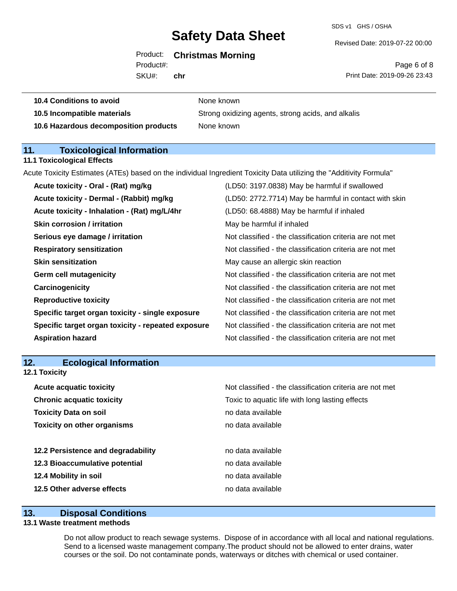#### Product: **Christmas Morning**

Product#:

SKU#: **chr** Revised Date: 2019-07-22 00:00

Page 6 of 8 Print Date: 2019-09-26 23:43

| 10.4 Conditions to avoid    | None known                                         |
|-----------------------------|----------------------------------------------------|
| 10.5 Incompatible materials | Strong oxidizing agents, strong acids, and alkalis |
|                             |                                                    |

**10.6 Hazardous decomposition products** None known

### **11. Toxicological Information**

#### **11.1 Toxicological Effects**

Acute Toxicity Estimates (ATEs) based on the individual Ingredient Toxicity Data utilizing the "Additivity Formula"

| Acute toxicity - Oral - (Rat) mg/kg                | (LD50: 3197.0838) May be harmful if swallowed            |
|----------------------------------------------------|----------------------------------------------------------|
| Acute toxicity - Dermal - (Rabbit) mg/kg           | (LD50: 2772.7714) May be harmful in contact with skin    |
| Acute toxicity - Inhalation - (Rat) mg/L/4hr       | (LD50: 68.4888) May be harmful if inhaled                |
| <b>Skin corrosion / irritation</b>                 | May be harmful if inhaled                                |
| Serious eye damage / irritation                    | Not classified - the classification criteria are not met |
| <b>Respiratory sensitization</b>                   | Not classified - the classification criteria are not met |
| <b>Skin sensitization</b>                          | May cause an allergic skin reaction                      |
| <b>Germ cell mutagenicity</b>                      | Not classified - the classification criteria are not met |
| Carcinogenicity                                    | Not classified - the classification criteria are not met |
| <b>Reproductive toxicity</b>                       | Not classified - the classification criteria are not met |
| Specific target organ toxicity - single exposure   | Not classified - the classification criteria are not met |
| Specific target organ toxicity - repeated exposure | Not classified - the classification criteria are not met |
| <b>Aspiration hazard</b>                           | Not classified - the classification criteria are not met |
|                                                    |                                                          |

### **12. Ecological Information**

**12.1 Toxicity**

| <b>Acute acquatic toxicity</b>     | Not classified - the classification criteria are not met |
|------------------------------------|----------------------------------------------------------|
| <b>Chronic acquatic toxicity</b>   | Toxic to aquatic life with long lasting effects          |
| <b>Toxicity Data on soil</b>       | no data available                                        |
| <b>Toxicity on other organisms</b> | no data available                                        |
|                                    |                                                          |
| 12.2 Persistence and degradability | no data available                                        |
| 12.3 Bioaccumulative potential     | no data available                                        |
| 12.4 Mobility in soil              | no data available                                        |
| 12.5 Other adverse effects         | no data available                                        |

### **13. Disposal Conditions**

#### **13.1 Waste treatment methods**

Do not allow product to reach sewage systems. Dispose of in accordance with all local and national regulations. Send to a licensed waste management company.The product should not be allowed to enter drains, water courses or the soil. Do not contaminate ponds, waterways or ditches with chemical or used container.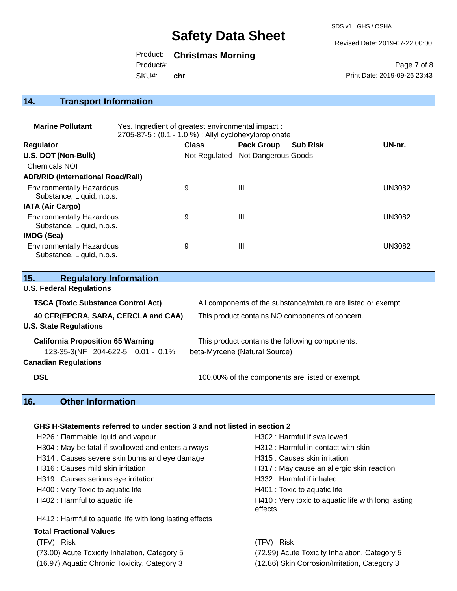SDS v1 GHS / OSHA

Revised Date: 2019-07-22 00:00

## Product: **Christmas Morning**

SKU#: Product#: **chr**

Page 7 of 8 Print Date: 2019-09-26 23:43

# **14. Transport Information**

| <b>Marine Pollutant</b>                                       | Yes. Ingredient of greatest environmental impact:<br>2705-87-5 : (0.1 - 1.0 %) : Allyl cyclohexylpropionate |              |                                     |                 |               |
|---------------------------------------------------------------|-------------------------------------------------------------------------------------------------------------|--------------|-------------------------------------|-----------------|---------------|
| <b>Regulator</b>                                              |                                                                                                             | <b>Class</b> | <b>Pack Group</b>                   | <b>Sub Risk</b> | UN-nr.        |
| U.S. DOT (Non-Bulk)                                           |                                                                                                             |              | Not Regulated - Not Dangerous Goods |                 |               |
| <b>Chemicals NOI</b>                                          |                                                                                                             |              |                                     |                 |               |
| <b>ADR/RID (International Road/Rail)</b>                      |                                                                                                             |              |                                     |                 |               |
| <b>Environmentally Hazardous</b><br>Substance, Liquid, n.o.s. |                                                                                                             | 9            | Ш                                   |                 | UN3082        |
| <b>IATA (Air Cargo)</b>                                       |                                                                                                             |              |                                     |                 |               |
| <b>Environmentally Hazardous</b><br>Substance, Liquid, n.o.s. |                                                                                                             | 9            | Ш                                   |                 | <b>UN3082</b> |
| <b>IMDG (Sea)</b>                                             |                                                                                                             |              |                                     |                 |               |
| <b>Environmentally Hazardous</b><br>Substance, Liquid, n.o.s. |                                                                                                             | 9            | Ш                                   |                 | UN3082        |

| 15.<br><b>Regulatory Information</b>                                 |                                                              |
|----------------------------------------------------------------------|--------------------------------------------------------------|
| <b>U.S. Federal Regulations</b>                                      |                                                              |
| <b>TSCA (Toxic Substance Control Act)</b>                            | All components of the substance/mixture are listed or exempt |
| 40 CFR(EPCRA, SARA, CERCLA and CAA)<br><b>U.S. State Regulations</b> | This product contains NO components of concern.              |
| <b>California Proposition 65 Warning</b>                             | This product contains the following components:              |
| 123-35-3(NF 204-622-5 0.01 - 0.1%                                    | beta-Myrcene (Natural Source)                                |
| <b>Canadian Regulations</b>                                          |                                                              |
| <b>DSL</b>                                                           | 100.00% of the components are listed or exempt.              |

# **16. Other Information**

#### **GHS H-Statements referred to under section 3 and not listed in section 2**

| H226 : Flammable liquid and vapour                       | H302 : Harmful if swallowed                                    |
|----------------------------------------------------------|----------------------------------------------------------------|
| H304 : May be fatal if swallowed and enters airways      | H312 : Harmful in contact with skin                            |
| H314 : Causes severe skin burns and eye damage           | H315 : Causes skin irritation                                  |
| H316 : Causes mild skin irritation                       | H317 : May cause an allergic skin reaction                     |
| H319 : Causes serious eye irritation                     | H332 : Harmful if inhaled                                      |
| H400 : Very Toxic to aquatic life                        | H401 : Toxic to aquatic life                                   |
| H402 : Harmful to aquatic life                           | H410 : Very toxic to aquatic life with long lasting<br>effects |
| H412 : Harmful to aquatic life with long lasting effects |                                                                |
| <b>Total Fractional Values</b>                           |                                                                |
| (TFV) Risk                                               | (TFV) Risk                                                     |
| (73.00) Acute Toxicity Inhalation, Category 5            | (72.99) Acute Toxicity Inhalation, Category 5                  |
| (16.97) Aquatic Chronic Toxicity, Category 3             | (12.86) Skin Corrosion/Irritation, Category 3                  |